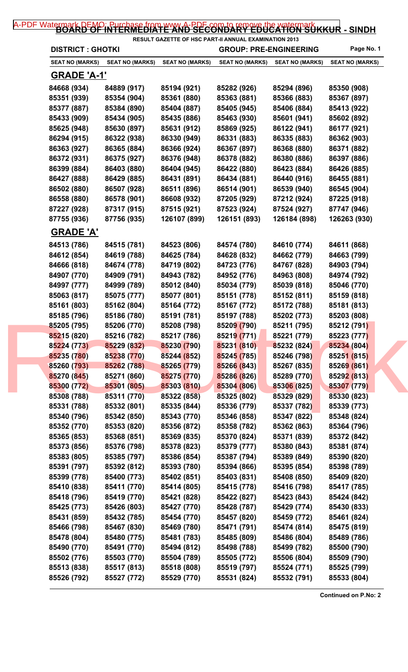## [A-PDF Watermark DEMO: Purchase from www.A-PDF.com to remove the watermark](http://www.a-pdf.com/?wm-demo) KKUR - SINDH

| <b>DISTRICT : GHOTKI</b> |                        |                        | RESULT GAZETTE OF HSC PART-II ANNUAL EXAMINATION 2013<br><b>GROUP: PRE-ENGINEERING</b> |                        | Page No. 1             |
|--------------------------|------------------------|------------------------|----------------------------------------------------------------------------------------|------------------------|------------------------|
| <b>SEAT NO (MARKS)</b>   | <b>SEAT NO (MARKS)</b> | <b>SEAT NO (MARKS)</b> | <b>SEAT NO (MARKS)</b>                                                                 | <b>SEAT NO (MARKS)</b> | <b>SEAT NO (MARKS)</b> |
| <b>GRADE 'A-1'</b>       |                        |                        |                                                                                        |                        |                        |
| 84668 (934)              | 84889 (917)            | 85194 (921)            | 85282 (926)                                                                            | 85294 (896)            | 85350 (908)            |
| 85351 (939)              | 85354 (904)            | 85361 (880)            | 85363 (881)                                                                            | 85366 (883)            | 85367 (897)            |
| 85377 (887)              | 85384 (890)            | 85404 (887)            | 85405 (945)                                                                            | 85406 (884)            | 85413 (922)            |
| 85433 (909)              | 85434 (905)            | 85435 (886)            | 85463 (930)                                                                            | 85601 (941)            | 85602 (892)            |
| 85625 (948)              | 85630 (897)            | 85631 (912)            | 85869 (925)                                                                            | 86122 (941)            | 86177 (921)            |
| 86294 (915)              | 86322 (938)            | 86330 (949)            | 86331 (883)                                                                            | 86335 (883)            | 86362 (903)            |
| 86363 (927)              | 86365 (884)            | 86366 (924)            | 86367 (897)                                                                            | 86368 (880)            | 86371 (882)            |
| 86372 (931)              | 86375 (927)            | 86376 (948)            | 86378 (882)                                                                            | 86380 (886)            | 86397 (886)            |
| 86399 (884)              | 86403 (880)            | 86404 (945)            | 86422 (880)                                                                            | 86423 (884)            | 86426 (885)            |
| 86427 (888)              | 86429 (885)            | 86431 (891)            | 86434 (881)                                                                            | 86440 (916)            | 86455 (881)            |
| 86502 (880)              | 86507 (928)            | 86511 (896)            | 86514 (901)                                                                            | 86539 (940)            | 86545 (904)            |
| 86558 (880)              | 86578 (901)            | 86608 (932)            | 87205 (929)                                                                            | 87212 (924)            | 87225 (918)            |
| 87227 (928)              | 87317 (915)            | 87515 (921)            | 87523 (924)                                                                            | 87524 (927)            | 87747 (946)            |
| 87755 (936)              | 87756 (935)            | 126107 (899)           | 126151 (893)                                                                           | 126184 (898)           | 126263 (930)           |
| <b>GRADE 'A'</b>         |                        |                        |                                                                                        |                        |                        |
| 84513 (786)              | 84515 (781)            | 84523 (806)            | 84574 (780)                                                                            | 84610 (774)            | 84611 (868)            |
| 84612 (854)              | 84619 (788)            | 84625 (784)            | 84628 (832)                                                                            | 84662 (779)            | 84663 (799)            |
| 84666 (818)              | 84674 (778)            | 84719 (802)            | 84723 (776)                                                                            | 84767 (828)            | 84903 (794)            |
| 84907 (770)              | 84909 (791)            | 84943 (782)            | 84952 (776)                                                                            | 84963 (808)            | 84974 (792)            |
| 84997 (777)              | 84999 (789)            | 85012 (840)            | 85034 (779)                                                                            | 85039 (818)            | 85046 (770)            |
| 85063 (817)              | 85075 (777)            | 85077 (801)            | 85151 (778)                                                                            | 85152 (811)            | 85159 (818)            |
| 85161 (803)              | 85162 (804)            | 85164 (772)            | 85167 (772)                                                                            | 85172 (788)            | 85181 (813)            |
| 85185 (796)              | 85186 (780)            | 85191 (781)            | 85197 (788)                                                                            | 85202 (773)            | 85203 (808)            |
| 85205 (795)              | 85206 (770)            | 85208 (798)            | 85209 (790)                                                                            | 85211 (795)            | 85212 (791)            |
| 85215 (820)              | 85216 (782)            | 85217 (786)            | 85219 (771)                                                                            | 85221 (779)            | 85223 (777)            |
| 85224 (773)              | 85229 (832)            | 85230 (790)            | 85231 (810)                                                                            | 85232 (824)            | 85234 (804)            |
| 85235 (780)              | 85238 (770)            | 85244 (852)            | 85245 (785)                                                                            | 85246 (798)            | 85251 (815)            |
| 85260 (793)              | 85262 (788)            | 85265 (779)            | 85266 (843)                                                                            | 85267 (835)            | 85269 (861)            |
| 85270 (845)              | 85271 (860)            | 85275 (770)            | 85286 (826)                                                                            | 85289 (770)            | 85292 (813)            |
| 85300 (772)              | 85301 (805)            | 85303 (810)            | 85304 (806)                                                                            | 85306 (825)            | 85307 (779)            |
| 85308 (788)              | 85311 (770)            | 85322 (858)            | 85325 (802)                                                                            | 85329 (829)            | 85330 (823)            |
| 85331 (788)              | 85332 (801)            | 85335 (844)            | 85336 (779)                                                                            | 85337 (782)            | 85339 (773)            |
| 85340 (796)              | 85342 (850)            | 85343 (770)            | 85346 (858)                                                                            | 85347 (822)            | 85348 (824)            |
| 85352 (770)              | 85353 (820)            | 85356 (872)            | 85358 (782)                                                                            | 85362 (863)            | 85364 (796)            |
| 85365 (853)              | 85368 (851)            | 85369 (835)            | 85370 (824)                                                                            | 85371 (839)            | 85372 (842)            |
| 85373 (856)              | 85376 (798)            | 85378 (823)            | 85379 (777)                                                                            | 85380 (843)            | 85381 (874)            |
| 85383 (805)              | 85385 (797)            | 85386 (854)            | 85387 (794)                                                                            | 85389 (849)            | 85390 (820)            |
| 85391 (797)              | 85392 (812)            | 85393 (780)            | 85394 (866)                                                                            | 85395 (854)            | 85398 (789)            |
| 85399 (778)              | 85400 (773)            | 85402 (851)            | 85403 (831)                                                                            | 85408 (850)            | 85409 (820)            |
| 85410 (838)              | 85411 (770)            | 85414 (805)            | 85415 (778)                                                                            | 85416 (798)            | 85417 (785)            |
| 85418 (796)              | 85419 (770)            | 85421 (828)            | 85422 (827)                                                                            | 85423 (843)            | 85424 (842)            |
| 85425 (773)              | 85426 (803)            | 85427 (770)            | 85428 (787)                                                                            | 85429 (774)            | 85430 (833)            |
| 85431 (859)              | 85432 (785)            | 85454 (770)            | 85457 (820)                                                                            | 85459 (772)            | 85461 (824)            |
| 85466 (798)              | 85467 (830)            | 85469 (780)            | 85471 (791)                                                                            | 85474 (814)            | 85475 (819)            |
| 85478 (804)              | 85480 (775)            | 85481 (783)            | 85485 (809)                                                                            | 85486 (804)            | 85489 (786)            |
| 85490 (770)              | 85491 (770)            | 85494 (812)            | 85498 (788)                                                                            | 85499 (782)            | 85500 (790)            |
| 85502 (776)              | 85503 (770)            | 85504 (789)            | 85505 (772)                                                                            | 85506 (804)            | 85509 (790)            |
| 85513 (838)              | 85517 (813)            | 85518 (808)            | 85519 (797)                                                                            | 85524 (771)            | 85525 (799)            |
| 85526 (792)              | 85527 (772)            | 85529 (770)            | 85531 (824)                                                                            | 85532 (791)            | 85533 (804)            |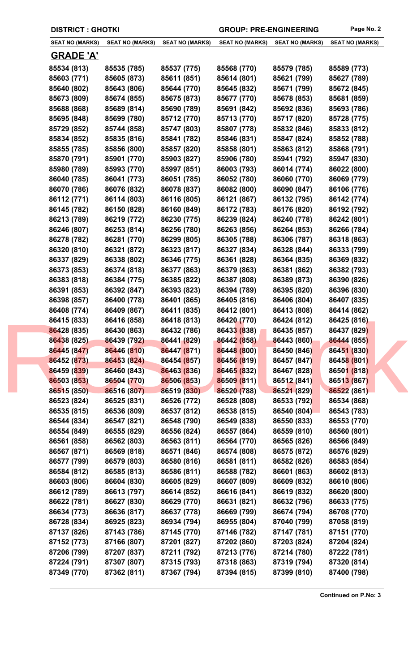| <b>DISTRICT : GHOTKI</b> |                        |                        | <b>GROUP: PRE-ENGINEERING</b> |                        | Page No. 2             |
|--------------------------|------------------------|------------------------|-------------------------------|------------------------|------------------------|
| <b>SEAT NO (MARKS)</b>   | <b>SEAT NO (MARKS)</b> | <b>SEAT NO (MARKS)</b> | <b>SEAT NO (MARKS)</b>        | <b>SEAT NO (MARKS)</b> | <b>SEAT NO (MARKS)</b> |
| <b>GRADE 'A'</b>         |                        |                        |                               |                        |                        |
| 85534 (813)              | 85535 (785)            | 85537 (775)            | 85568 (770)                   | 85579 (785)            | 85589 (773)            |
| 85603 (771)              | 85605 (873)            | 85611 (851)            | 85614 (801)                   | 85621 (799)            | 85627 (789)            |
| 85640 (802)              | 85643 (806)            | 85644 (770)            | 85645 (832)                   | 85671 (799)            | 85672 (845)            |
| 85673 (809)              | 85674 (855)            | 85675 (873)            | 85677 (770)                   | 85678 (853)            | 85681 (859)            |
| 85688 (868)              | 85689 (814)            | 85690 (789)            | 85691 (842)                   | 85692 (836)            | 85693 (786)            |
| 85695 (848)              | 85699 (780)            | 85712 (770)            | 85713 (770)                   | 85717 (820)            | 85728 (775)            |
| 85729 (852)              | 85744 (858)            | 85747 (803)            | 85807 (778)                   | 85832 (846)            | 85833 (812)            |
| 85834 (852)              | 85835 (816)            | 85841 (782)            | 85846 (831)                   | 85847 (824)            | 85852 (788)            |
| 85855 (785)              | 85856 (800)            | 85857 (820)            | 85858 (801)                   | 85863 (812)            | 85868 (791)            |
| 85870 (791)              | 85901 (770)            | 85903 (827)            | 85906 (780)                   | 85941 (792)            | 85947 (830)            |
| 85980 (789)              | 85993 (770)            | 85997 (851)            | 86003 (793)                   | 86014 (774)            | 86022 (800)            |
| 86040 (785)              | 86041 (773)            | 86051 (785)            | 86052 (780)                   | 86060 (770)            | 86069 (779)            |
| 86070 (786)              | 86076 (832)            | 86078 (837)            | 86082 (800)                   | 86090 (847)            | 86106 (776)            |
| 86112 (771)              | 86114 (803)            | 86116 (805)            | 86121 (867)                   | 86132 (795)            | 86142 (774)            |
| 86145 (782)              | 86150 (828)            | 86160 (849)            | 86172 (783)                   | 86176 (820)            | 86192 (792)            |
| 86213 (789)              | 86219 (772)            | 86230 (775)            | 86239 (824)                   | 86240 (778)            | 86242 (801)            |
| 86246 (807)              | 86253 (814)            | 86256 (780)            | 86263 (856)                   | 86264 (853)            | 86266 (784)            |
| 86278 (782)              | 86281 (770)            | 86299 (805)            | 86305 (788)                   | 86306 (787)            | 86318 (863)            |
| 86320 (810)              | 86321 (872)            | 86323 (817)            | 86327 (834)                   | 86328 (844)            | 86333 (799)            |
| 86337 (829)              | 86338 (802)            | 86346 (775)            | 86361 (828)                   | 86364 (835)            | 86369 (832)            |
| 86373 (853)              | 86374 (818)            | 86377 (863)            | 86379 (863)                   | 86381 (862)            | 86382 (793)            |
| 86383 (818)              | 86384 (775)            | 86385 (822)            | 86387 (808)                   | 86389 (873)            | 86390 (826)            |
| 86391 (853)              | 86392 (847)            | 86393 (823)            | 86394 (789)                   | 86395 (820)            | 86396 (830)            |
| 86398 (857)              | 86400 (778)            | 86401 (865)            | 86405 (816)                   | 86406 (804)            | 86407 (835)            |
| 86408 (774)              | 86409 (867)            | 86411 (835)            | 86412 (801)                   | 86413 (808)            | 86414 (862)            |
| 86415 (833)              | 86416 (858)            | 86418 (813)            | 86420 (770)                   | 86424 (812)            | 86425 (816)            |
| 86428 (835)              | 86430 (863)            | 86432 (786)            | 86433 (838)                   | 86435 (857)            | 86437 (829)            |
| 86438 (825)              | 86439 (792)            | 86441 (829)            | 86442 (858)                   | 86443 (860)            | 86444 (855)            |
| 86445 (847)              | 86446 (810)            | 86447 (871)            | 86448 (800)                   | 86450 (846)            | 86451 (830)            |
| 86452 (873)              | 86453 (824)            | 86454 (857)            | 86456 (819)                   | 86457 (847)            | 86458 (801)            |
| 86459 (839)              | 86460 (843)            | 86463 (836)            | 86465 (832)                   | 86467 (828)            | 86501 (818)            |
| 86503 (853)              | 86504 (770)            | 86506 (853)            | 86509 (811)                   | 86512 (841)            | 86513 (867)            |
| 86515 (850)              | 86516 (807)            | 86519 (830)            | 86520 (788)                   | 86521 (829)            | 86522 (861)            |
| 86523 (824)              | 86525 (831)            | 86526 (772)            | 86528 (808)                   | 86533 (792)            | 86534 (868)            |
| 86535 (815)              | 86536 (809)            | 86537 (812)            | 86538 (815)                   | 86540 (804)            | 86543 (783)            |
| 86544 (834)              | 86547 (821)            | 86548 (790)            | 86549 (838)                   | 86550 (833)            | 86553 (770)            |
| 86554 (849)              | 86555 (829)            | 86556 (824)            | 86557 (864)                   | 86559 (810)            | 86560 (801)            |
| 86561 (858)              | 86562 (803)            | 86563 (811)            | 86564 (770)                   | 86565 (826)            | 86566 (849)            |
| 86567 (871)              | 86569 (818)            | 86571 (846)            | 86574 (808)                   | 86575 (872)            | 86576 (829)            |
| 86577 (799)              | 86579 (803)            | 86580 (816)            | 86581 (811)                   | 86582 (826)            | 86583 (854)            |
| 86584 (812)              | 86585 (813)            | 86586 (811)            | 86588 (782)                   | 86601 (863)            | 86602 (813)            |
| 86603 (806)              | 86604 (830)            | 86605 (829)            | 86607 (809)                   | 86609 (832)            | 86610 (806)            |
| 86612 (789)              | 86613 (797)            | 86614 (852)            | 86616 (841)                   | 86619 (832)            | 86620 (800)            |
| 86622 (781)              | 86627 (830)            | 86629 (770)            | 86631 (821)                   | 86632 (796)            | 86633 (775)            |
| 86634 (773)              | 86636 (817)            | 86637 (778)            | 86669 (799)                   | 86674 (794)            | 86708 (770)            |
| 86728 (834)              | 86925 (823)            | 86934 (794)            | 86955 (804)                   | 87040 (799)            | 87058 (819)            |
| 87137 (826)              | 87143 (786)            | 87145 (770)            | 87146 (782)                   | 87147 (781)            | 87151 (770)            |
| 87152 (773)              | 87166 (807)            | 87201 (827)            | 87202 (860)                   | 87203 (824)            | 87204 (824)            |
| 87206 (799)              | 87207 (837)            | 87211 (792)            | 87213 (776)                   | 87214 (780)            | 87222 (781)            |
| 87224 (791)              | 87307 (807)            | 87315 (793)            | 87318 (863)                   | 87319 (794)            | 87320 (814)            |
| 87349 (770)              | 87362 (811)            | 87367 (794)            | 87394 (815)                   | 87399 (810)            | 87400 (798)            |
|                          |                        |                        |                               |                        |                        |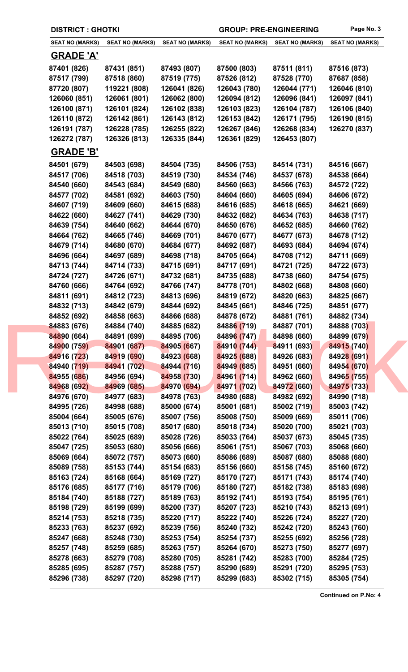| <b>DISTRICT: GHOTKI</b>    |                            |                            | <b>GROUP: PRE-ENGINEERING</b> |                            | Page No. 3                 |
|----------------------------|----------------------------|----------------------------|-------------------------------|----------------------------|----------------------------|
| <b>SEAT NO (MARKS)</b>     | <b>SEAT NO (MARKS)</b>     | <b>SEAT NO (MARKS)</b>     | <b>SEAT NO (MARKS)</b>        | <b>SEAT NO (MARKS)</b>     | <b>SEAT NO (MARKS)</b>     |
| <b>GRADE 'A'</b>           |                            |                            |                               |                            |                            |
| 87401 (826)                | 87431 (851)                | 87493 (807)                | 87500 (803)                   | 87511 (811)                | 87516 (873)                |
| 87517 (799)                | 87518 (860)                | 87519 (775)                | 87526 (812)                   | 87528 (770)                | 87687 (858)                |
| 87720 (807)                | 119221 (808)               | 126041 (826)               | 126043 (780)                  | 126044 (771)               | 126046 (810)               |
| 126060 (851)               | 126061 (801)               | 126062 (800)               | 126094 (812)                  | 126096 (841)               | 126097 (841)               |
| 126100 (871)               | 126101 (824)               | 126102 (838)               | 126103 (823)                  | 126104 (787)               | 126106 (840)               |
| 126110 (872)               | 126142 (861)               | 126143 (812)               | 126153 (842)                  | 126171 (795)               | 126190 (815)               |
| 126191 (787)               | 126228 (785)               | 126255 (822)               | 126267 (846)                  | 126268 (834)               | 126270 (837)               |
| 126272 (787)               | 126326 (813)               | 126335 (844)               | 126361 (829)                  | 126453 (807)               |                            |
| <b>GRADE 'B'</b>           |                            |                            |                               |                            |                            |
| 84501 (679)                | 84503 (698)                | 84504 (735)                | 84506 (753)                   | 84514 (731)                | 84516 (667)                |
| 84517 (706)                | 84518 (703)                | 84519 (730)                | 84534 (746)                   | 84537 (678)                | 84538 (664)                |
| 84540 (660)                | 84543 (684)                | 84549 (680)                | 84560 (663)                   | 84566 (763)                | 84572 (722)                |
| 84577 (702)                | 84581 (692)                | 84603 (750)                | 84604 (660)                   | 84605 (694)                | 84606 (672)                |
| 84607 (719)                | 84609 (660)                | 84615 (688)                | 84616 (685)                   | 84618 (665)                | 84621 (669)                |
| 84622 (660)                | 84627 (741)                | 84629 (730)                | 84632 (682)                   | 84634 (763)                | 84638 (717)                |
| 84639 (754)                | 84640 (662)                | 84644 (670)                | 84650 (676)                   | 84652 (685)                | 84660 (762)                |
| 84664 (762)                | 84665 (746)                | 84669 (701)                | 84670 (677)                   | 84677 (673)                | 84678 (712)                |
| 84679 (714)                | 84680 (670)                | 84684 (677)                | 84692 (687)                   | 84693 (684)                | 84694 (674)                |
| 84696 (664)                | 84697 (689)                | 84698 (718)                | 84705 (664)                   | 84708 (712)                | 84711 (669)                |
| 84713 (744)                | 84714 (733)                | 84715 (691)                | 84717 (691)                   | 84721 (725)                | 84722 (673)                |
| 84724 (727)                | 84726 (671)                | 84732 (681)                | 84735 (688)                   | 84738 (660)                | 84754 (675)                |
| 84760 (666)                | 84764 (692)                | 84766 (747)                | 84778 (701)                   | 84802 (668)                | 84808 (660)                |
| 84811 (691)                | 84812 (723)                | 84813 (696)                | 84819 (672)<br>84845 (661)    | 84820 (663)                | 84825 (667)                |
| 84832 (713)                | 84842 (679)                | 84844 (692)<br>84866 (688) |                               | 84846 (725)                | 84851 (677)                |
| 84852 (692)<br>84883 (676) | 84858 (663)<br>84884 (740) | 84885 (682)                | 84878 (672)<br>84886 (719)    | 84881 (761)<br>84887 (701) | 84882 (734)<br>84888 (703) |
| 84890 (664)                | 84891 (699)                | 84895 (706)                | 84896 (747)                   | 84898 (660)                | 84899 (679)                |
| 84900 (759)                | 84901 (687)                | 84905 (667)                | 84910 (744)                   | 84911 (693)                | 84915 (740)                |
| 84916 (723)                | 84919 (690)                | 84923 (668)                | 84925 (688)                   | 84926 (683)                | 84928 (691)                |
| 84940 (719)                | 84941 (702)                | 84944 (716)                | 84949 (685)                   | 84951 (660)                | 84954 (670)                |
| 84955 (686)                | 84956 (694)                | 84958 (730)                | 84961 (714)                   | 84962 (660)                | 84965 (755)                |
| 84968 (692)                | 84969 (685)                | 84970 (694)                | 84971 (702)                   | 84972 (660)                | 84975 (733)                |
| 84976 (670)                | 84977 (683)                | 84978 (763)                | 84980 (688)                   | 84982 (692)                | 84990 (718)                |
| 84995 (726)                | 84998 (688)                | 85000 (674)                | 85001 (681)                   | 85002 (719)                | 85003 (742)                |
| 85004 (664)                | 85005 (676)                | 85007 (756)                | 85008 (750)                   | 85009 (669)                | 85011 (706)                |
| 85013 (710)                | 85015 (708)                | 85017 (680)                | 85018 (734)                   | 85020 (700)                | 85021 (703)                |
| 85022 (764)                | 85025 (689)                | 85028 (726)                | 85033 (764)                   | 85037 (673)                | 85045 (735)                |
| 85047 (725)                | 85053 (680)                | 85056 (666)                | 85061 (751)                   | 85067 (703)                | 85068 (660)                |
| 85069 (664)                | 85072 (757)                | 85073 (660)                | 85086 (689)                   | 85087 (680)                | 85088 (680)                |
| 85089 (758)                | 85153 (744)                | 85154 (683)                | 85156 (660)                   | 85158 (745)                | 85160 (672)                |
| 85163 (724)                | 85168 (664)                | 85169 (727)                | 85170 (727)                   | 85171 (743)                | 85174 (740)                |
| 85176 (685)                | 85177 (716)                | 85179 (706)                | 85180 (727)                   | 85182 (738)                | 85183 (698)                |
| 85184 (740)                | 85188 (727)                | 85189 (763)                | 85192 (741)                   | 85193 (754)                | 85195 (761)                |
| 85198 (729)                | 85199 (699)                | 85200 (737)                | 85207 (723)                   | 85210 (743)                | 85213 (691)                |
| 85214 (753)                | 85218 (735)                | 85220 (717)                | 85222 (740)                   | 85226 (724)                | 85227 (720)                |
| 85233 (763)                | 85237 (692)                | 85239 (756)                | 85240 (732)                   | 85242 (720)                | 85243 (760)                |
| 85247 (668)                | 85248 (730)                | 85253 (754)                | 85254 (737)                   | 85255 (692)                | 85256 (728)                |
| 85257 (748)                | 85259 (685)                | 85263 (757)                | 85264 (670)                   | 85273 (750)                | 85277 (697)                |
| 85278 (663)                | 85279 (708)                | 85280 (705)                | 85281 (742)                   | 85283 (700)                | 85284 (725)                |
| 85285 (695)                | 85287 (757)                | 85288 (757)                | 85290 (689)                   | 85291 (720)                | 85295 (753)                |
| 85296 (738)                | 85297 (720)                | 85298 (717)                | 85299 (683)                   | 85302 (715)                | 85305 (754)                |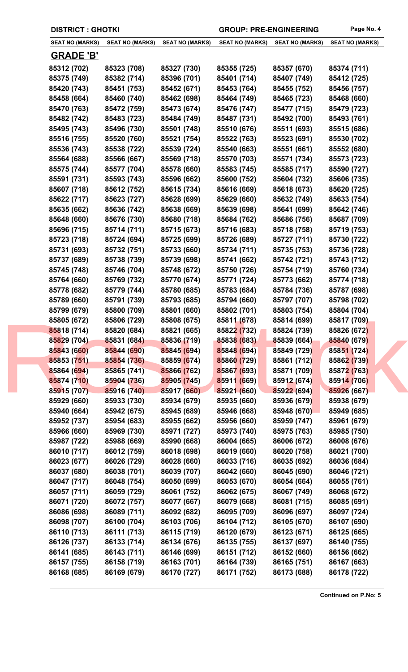| <b>DISTRICT: GHOTKI</b>    |                        |                        | <b>GROUP: PRE-ENGINEERING</b> |                        | Page No. 4             |
|----------------------------|------------------------|------------------------|-------------------------------|------------------------|------------------------|
| <b>SEAT NO (MARKS)</b>     | <b>SEAT NO (MARKS)</b> | <b>SEAT NO (MARKS)</b> | <b>SEAT NO (MARKS)</b>        | <b>SEAT NO (MARKS)</b> | <b>SEAT NO (MARKS)</b> |
| <b>GRADE 'B'</b>           |                        |                        |                               |                        |                        |
| 85312 (702)                | 85323 (708)            | 85327 (730)            | 85355 (725)                   | 85357 (670)            | 85374 (711)            |
| 85375 (749)                | 85382 (714)            | 85396 (701)            | 85401 (714)                   | 85407 (749)            | 85412 (725)            |
| 85420 (743)                | 85451 (753)            | 85452 (671)            | 85453 (764)                   | 85455 (752)            | 85456 (757)            |
| 85458 (664)                | 85460 (740)            | 85462 (698)            | 85464 (749)                   | 85465 (723)            | 85468 (660)            |
| 85470 (763)                | 85472 (759)            | 85473 (674)            | 85476 (747)                   | 85477 (715)            | 85479 (723)            |
| 85482 (742)                | 85483 (723)            | 85484 (749)            | 85487 (731)                   | 85492 (700)            | 85493 (761)            |
| 85495 (743)                | 85496 (730)            | 85501 (748)            | 85510 (676)                   | 85511 (693)            | 85515 (686)            |
| 85516 (755)                | 85520 (760)            | 85521 (754)            | 85522 (763)                   | 85523 (691)            | 85530 (702)            |
| 85536 (743)                | 85538 (722)            | 85539 (724)            | 85540 (663)                   | 85551 (661)            | 85552 (680)            |
| 85564 (688)                | 85566 (667)            | 85569 (718)            | 85570 (703)                   | 85571 (734)            | 85573 (723)            |
| 85575 (744)                | 85577 (704)            | 85578 (660)            | 85583 (745)                   | 85585 (717)            | 85590 (727)            |
| 85591 (731)                | 85593 (743)            | 85596 (662)            | 85600 (752)                   | 85604 (732)            | 85606 (735)            |
| 85607 (718)                | 85612 (752)            | 85615 (734)            | 85616 (669)                   | 85618 (673)            | 85620 (725)            |
| 85622 (717)                | 85623 (727)            | 85628 (699)            | 85629 (660)                   | 85632 (749)            | 85633 (754)            |
| 85635 (662)                | 85636 (742)            | 85638 (669)            | 85639 (698)                   | 85641 (699)            | 85642 (746)            |
| 85648 (660)                | 85676 (730)            | 85680 (718)            | 85684 (762)                   | 85686 (756)            | 85687 (709)            |
| 85696 (715)                | 85714 (711)            | 85715 (673)            | 85716 (683)                   | 85718 (758)            | 85719 (753)            |
| 85723 (718)                | 85724 (694)            | 85725 (699)            | 85726 (689)                   | 85727 (711)            | 85730 (722)            |
| 85731 (693)                | 85732 (751)            | 85733 (660)            | 85734 (711)                   | 85735 (753)            | 85736 (728)            |
| 85737 (689)                | 85738 (739)            | 85739 (698)            | 85741 (662)                   | 85742 (721)            | 85743 (712)            |
| 85745 (748)                | 85746 (704)            | 85748 (672)            | 85750 (726)                   | 85754 (719)            | 85760 (734)            |
| 85764 (660)                | 85769 (732)            | 85770 (674)            | 85771 (724)                   | 85773 (662)            | 85774 (718)            |
| 85778 (682)                | 85779 (744)            | 85780 (685)            | 85783 (684)                   | 85784 (736)            | 85787 (698)            |
| 85789 (660)                | 85791 (739)            | 85793 (685)            | 85794 (660)                   | 85797 (707)            | 85798 (702)            |
| 85799 (679)                | 85800 (709)            | 85801 (660)            | 85802 (701)                   | 85803 (754)            | 85804 (704)            |
| 85805 (672)                | 85806 (729)            | 85808 (675)            | 85811 (678)                   | 85814 (699)            | 85817 (709)            |
| 85818 (714)                | 85820 (684)            | 85821 (665)            | 85822 (732)                   | 85824 (739)            | 85826 (672)            |
| 85829 (704)                | 85831 (684)            | 85836 (719)            | 85838 (683)                   | 85839 (664)            | 85840 (679)            |
| 85843 (660)                | 85844 (690)            | 85845 (694)            | 85848 (694)                   | 85849 (729)            | 85851 (724)            |
| 85853 (751)                | 85854 (736)            | 85859 (674)            | 85860 (729)                   | 85861 (712)            | 85862 (739)            |
| 85864 (694)                | 85865 (741)            | 85866 (762)            | 85867 (693)                   | 85871 (709)            | 85872 (763)            |
| 85874 (710)                | 85904 (736)            | 85905 (745)            | 85911 (669)                   | 85912 (674)            | 85914 (706)            |
| 85915 (707)                | 85916 (740)            | 85917 (660)            | 85921 (660)                   | 85922 (694)            | 85926 (667)            |
| 85929 (660)                | 85933 (730)            | 85934 (679)            | 85935 (660)                   | 85936 (679)            | 85938 (679)            |
| 85940 (664)                | 85942 (675)            | 85945 (689)            | 85946 (668)                   | 85948 (670)            | 85949 (685)            |
| 85952 (737)                | 85954 (683)            | 85955 (662)            | 85956 (660)                   | 85959 (747)            | 85961 (679)            |
| 85966 (660)                | 85969 (730)            | 85971 (727)            | 85973 (740)                   | 85975 (763)            | 85985 (750)            |
| 85987 (722)                | 85988 (669)            | 85990 (668)            | 86004 (665)                   | 86006 (672)            | 86008 (676)            |
| 86010 (717)                | 86012 (759)            | 86018 (698)            | 86019 (660)                   | 86020 (758)            | 86021 (700)            |
| 86023 (677)                | 86026 (729)            | 86028 (660)            | 86033 (716)                   | 86035 (692)            | 86036 (684)            |
| 86037 (680)                | 86038 (701)            | 86039 (707)            | 86042 (660)                   | 86045 (690)            | 86046 (721)            |
| 86047 (717)                | 86048 (754)            | 86050 (699)            | 86053 (670)                   | 86054 (664)            | 86055 (761)            |
| 86057 (711)                | 86059 (729)            | 86061 (752)            | 86062 (675)                   | 86067 (749)            | 86068 (672)            |
| 86071 (720)                | 86072 (757)            | 86077 (667)            | 86079 (668)                   | 86081 (715)            | 86085 (691)            |
| 86086 (698)                | 86089 (711)            | 86092 (682)            | 86095 (709)                   | 86096 (697)            | 86097 (724)            |
| 86098 (707)                | 86100 (704)            | 86103 (706)            | 86104 (712)                   | 86105 (670)            | 86107 (690)            |
| 86110 (713)                | 86111 (713)            | 86115 (719)            | 86120 (679)                   | 86123 (671)            | 86125 (665)            |
| 86126 (737)                | 86133 (714)            | 86134 (676)            | 86135 (755)                   | 86137 (697)            | 86140 (755)            |
|                            | 86143 (711)            | 86146 (699)            |                               | 86152 (660)            | 86156 (662)            |
| 86141 (685)<br>86157 (755) | 86158 (719)            | 86163 (701)            | 86151 (712)<br>86164 (739)    | 86165 (751)            | 86167 (663)            |
| 86168 (685)                | 86169 (679)            | 86170 (727)            | 86171 (752)                   | 86173 (688)            | 86178 (722)            |
|                            |                        |                        |                               |                        |                        |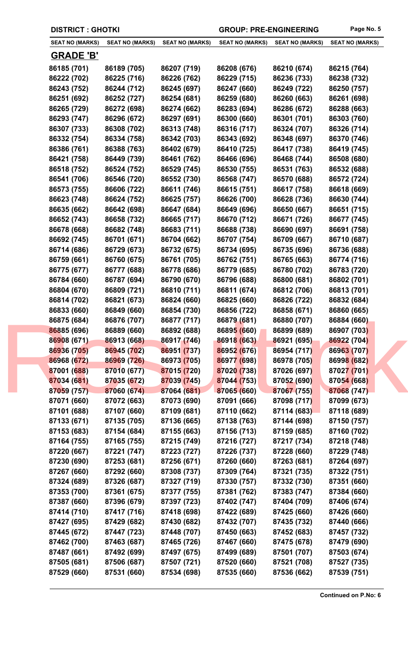| <b>SEAT NO (MARKS)</b> | <b>SEAT NO (MARKS)</b> | <b>SEAT NO (MARKS)</b> | <b>SEAT NO (MARKS)</b> | <b>SEAT NO (MARKS)</b> | <b>SEAT NO (MARKS)</b> |
|------------------------|------------------------|------------------------|------------------------|------------------------|------------------------|
| <b>GRADE 'B'</b>       |                        |                        |                        |                        |                        |
| 86185 (701)            | 86189 (705)            | 86207 (719)            | 86208 (676)            | 86210 (674)            | 86215 (764)            |
| 86222 (702)            | 86225 (716)            | 86226 (762)            | 86229 (715)            | 86236 (733)            | 86238 (732)            |
| 86243 (752)            | 86244 (712)            | 86245 (697)            | 86247 (660)            | 86249 (722)            | 86250 (757)            |
| 86251 (692)            | 86252 (727)            | 86254 (681)            | 86259 (680)            | 86260 (663)            | 86261 (698)            |
| 86265 (729)            | 86272 (698)            | 86274 (662)            | 86283 (694)            | 86286 (672)            | 86288 (663)            |
| 86293 (747)            | 86296 (672)            | 86297 (691)            | 86300 (660)            | 86301 (701)            | 86303 (760)            |
| 86307 (733)            | 86308 (702)            | 86313 (748)            | 86316 (717)            | 86324 (707)            | 86326 (714)            |
| 86332 (754)            | 86334 (758)            | 86342 (703)            | 86343 (692)            | 86348 (697)            | 86370 (746)            |
| 86386 (761)            | 86388 (763)            | 86402 (679)            | 86410 (725)            | 86417 (738)            | 86419 (745)            |
| 86421 (758)            | 86449 (739)            | 86461 (762)            | 86466 (696)            | 86468 (744)            | 86508 (680)            |
| 86518 (752)            | 86524 (752)            | 86529 (745)            | 86530 (755)            | 86531 (763)            | 86532 (688)            |
| 86541 (706)            | 86546 (720)            | 86552 (730)            | 86568 (747)            | 86570 (688)            | 86572 (724)            |
| 86573 (755)            | 86606 (722)            | 86611 (746)            | 86615 (751)            | 86617 (758)            | 86618 (669)            |
| 86623 (748)            | 86624 (752)            | 86625 (757)            | 86626 (700)            | 86628 (736)            | 86630 (744)            |
| 86635 (662)            | 86642 (698)            | 86647 (684)            | 86649 (696)            | 86650 (667)            | 86651 (715)            |
| 86652 (743)            | 86658 (732)            | 86665 (717)            | 86670 (712)            | 86671 (726)            | 86677 (745)            |
| 86678 (668)            | 86682 (748)            | 86683 (711)            | 86688 (738)            | 86690 (697)            | 86691 (758)            |
| 86692 (745)            | 86701 (671)            | 86704 (662)            | 86707 (754)            | 86709 (667)            | 86710 (687)            |
| 86714 (686)            | 86729 (673)            | 86732 (675)            | 86734 (695)            | 86735 (696)            | 86736 (688)            |
| 86759 (661)            | 86760 (675)            | 86761 (705)            | 86762 (751)            | 86765 (663)            | 86774 (716)            |
| 86775 (677)            | 86777 (688)            | 86778 (686)            | 86779 (685)            | 86780 (702)            | 86783 (720)            |
| 86784 (660)            | 86787 (694)            | 86790 (670)            | 86796 (688)            | 86800 (681)            | 86802 (701)            |
| 86804 (670)            | 86809 (721)            | 86810 (711)            | 86811 (674)            | 86812 (706)            | 86813 (701)            |
| 86814 (702)            | 86821 (673)            | 86824 (660)            | 86825 (660)            | 86826 (722)            | 86832 (684)            |
| 86833 (660)            | 86849 (660)            | 86854 (730)            | 86856 (722)            | 86858 (671)            | 86860 (665)            |
| 86875 (684)            | 86876 (707)            | 86877 (717)            | 86879 (681)            | 86880 (707)            | 86884 (660)            |
| 86885 (696)            | 86889 (660)            | 86892 (688)            | 86895 (660)            | 86899 (689)            | 86907 (703)            |
| 86908 (671)            | 86913 (668)            | 86917 (746)            | 86918 (663)            | 86921 (695)            | 86922 (704)            |
| 86936 (705)            | 86945 (702)            | 86951 (737)            | 86952 (676)            | 86954 (717)            | 86963 (707)            |
| 86968 (672)            | 86969 (726)            | 86973 (705)            | 86977 (698)            | 86978 (705)            | 86998 (682)            |
| 87001 (688)            | 87010 (677)            | 87015 (720)            | 87020 (738)            | 87026 (697)            | 87027 (701)            |
| 87034 (681)            | 87035 (672)            | 87039 (745)            | 87044 (753)            | 87052 (690)            | 87054 (668)            |
| 87059 (757)            | 87060 (674)            | 87064 (681)            | 87065 (660)            | 87067 (755)            | 87068 (747)            |
| 87071 (660)            | 87072 (663)            | 87073 (690)            | 87091 (666)            | 87098 (717)            | 87099 (673)            |
| 87101 (688)            | 87107 (660)            | 87109 (681)            | 87110 (662)            | 87114 (683)            | 87118 (689)            |
| 87133 (671)            | 87135 (705)            | 87136 (665)            | 87138 (763)            | 87144 (698)            | 87150 (757)            |
| 87153 (683)            | 87154 (684)            | 87155 (663)            | 87156 (713)            | 87159 (685)            | 87160 (702)            |
| 87164 (755)            | 87165 (755)            | 87215 (749)            | 87216 (727)            | 87217 (734)            | 87218 (748)            |
| 87220 (667)            | 87221 (747)            | 87223 (727)            | 87226 (737)            | 87228 (660)            | 87229 (748)            |
| 87230 (690)            | 87253 (681)            | 87256 (671)            | 87260 (660)            | 87263 (681)            | 87264 (697)            |
| 87267 (660)            | 87292 (660)            | 87308 (737)            | 87309 (764)            | 87321 (735)            | 87322 (751)            |
| 87324 (689)            | 87326 (687)            | 87327 (719)            | 87330 (757)            | 87332 (730)            | 87351 (660)            |
| 87353 (700)            | 87361 (675)            | 87377 (755)            | 87381 (762)            | 87383 (747)            | 87384 (660)            |
| 87387 (660)            | 87396 (679)            | 87397 (723)            | 87402 (747)            | 87404 (709)            | 87406 (674)            |
| 87414 (710)            | 87417 (716)            | 87418 (698)            | 87422 (689)            | 87425 (660)            | 87426 (660)            |
| 87427 (695)            | 87429 (682)            | 87430 (682)            | 87432 (707)            | 87435 (732)            | 87440 (666)            |
| 87445 (672)            | 87447 (723)            | 87448 (707)            | 87450 (663)            | 87452 (683)            | 87457 (732)            |
| 87462 (700)            | 87463 (687)            | 87465 (726)            | 87467 (660)            | 87475 (678)            | 87479 (690)            |
| 87487 (661)            | 87492 (699)            | 87497 (675)            | 87499 (689)            | 87501 (707)            | 87503 (674)            |
| 87505 (681)            | 87506 (687)            | 87507 (721)            | 87520 (660)            | 87521 (708)            | 87527 (735)            |
|                        |                        |                        |                        |                        |                        |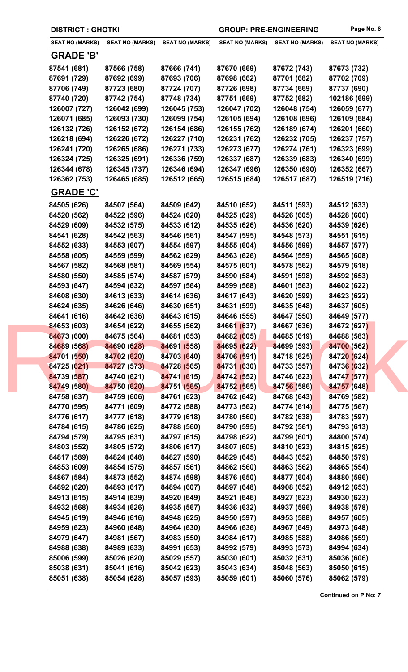|  | <b>DISTRICT : GHOTKI</b>   |                            |                            | <b>GROUP: PRE-ENGINEERING</b> |                            | Page No. 6                 |
|--|----------------------------|----------------------------|----------------------------|-------------------------------|----------------------------|----------------------------|
|  | <b>SEAT NO (MARKS)</b>     | <b>SEAT NO (MARKS)</b>     | <b>SEAT NO (MARKS)</b>     | <b>SEAT NO (MARKS)</b>        | <b>SEAT NO (MARKS)</b>     | <b>SEAT NO (MARKS)</b>     |
|  | <b>GRADE 'B'</b>           |                            |                            |                               |                            |                            |
|  | 87541 (681)                | 87566 (758)                | 87666 (741)                | 87670 (669)                   | 87672 (743)                | 87673 (732)                |
|  | 87691 (729)                | 87692 (699)                | 87693 (706)                | 87698 (662)                   | 87701 (682)                | 87702 (709)                |
|  | 87706 (749)                | 87723 (680)                | 87724 (707)                | 87726 (698)                   | 87734 (669)                | 87737 (690)                |
|  | 87740 (720)                | 87742 (754)                | 87748 (734)                | 87751 (669)                   | 87752 (682)                | 102186 (699)               |
|  | 126007 (727)               | 126042 (699)               | 126045 (753)               | 126047 (702)                  | 126048 (754)               | 126059 (677)               |
|  | 126071 (685)               | 126093 (730)               | 126099 (754)               | 126105 (694)                  | 126108 (696)               | 126109 (684)               |
|  | 126132 (726)               | 126152 (672)               | 126154 (686)               | 126155 (762)                  | 126189 (674)               | 126201 (660)               |
|  | 126218 (694)               | 126226 (672)               | 126227 (710)               | 126231 (762)                  | 126232 (705)               | 126237 (757)               |
|  | 126241 (720)               | 126265 (686)               | 126271 (733)               | 126273 (677)                  | 126274 (761)               | 126323 (699)               |
|  | 126324 (725)               | 126325 (691)               | 126336 (759)               | 126337 (687)                  | 126339 (683)               | 126340 (699)               |
|  | 126344 (678)               | 126345 (737)               | 126346 (694)               | 126347 (696)                  | 126350 (690)               | 126352 (667)               |
|  | 126362 (753)               | 126465 (685)               | 126512 (665)               | 126515 (684)                  | 126517 (687)               | 126519 (716)               |
|  | <b>GRADE 'C'</b>           |                            |                            |                               |                            |                            |
|  | 84505 (626)                | 84507 (564)                | 84509 (642)                | 84510 (652)                   | 84511 (593)                | 84512 (633)                |
|  | 84520 (562)                | 84522 (596)                | 84524 (620)                | 84525 (629)                   | 84526 (605)                | 84528 (600)                |
|  | 84529 (609)                | 84532 (575)                | 84533 (612)                | 84535 (626)                   | 84536 (620)                | 84539 (626)                |
|  | 84541 (628)                | 84542 (563)                | 84546 (561)                | 84547 (595)                   | 84548 (573)                | 84551 (615)                |
|  | 84552 (633)                | 84553 (607)                | 84554 (597)                | 84555 (604)                   | 84556 (599)                | 84557 (577)                |
|  | 84558 (605)                | 84559 (599)                | 84562 (629)                | 84563 (626)                   | 84564 (559)                | 84565 (608)                |
|  | 84567 (582)                | 84568 (581)                | 84569 (554)                | 84575 (601)                   | 84578 (562)                | 84579 (618)                |
|  | 84580 (550)                | 84585 (574)                | 84587 (579)                | 84590 (584)                   | 84591 (598)                | 84592 (653)                |
|  | 84593 (647)                | 84594 (632)                | 84597 (564)                | 84599 (568)                   | 84601 (563)                | 84602 (622)                |
|  | 84608 (630)                | 84613 (633)                | 84614 (636)                | 84617 (643)                   | 84620 (599)                | 84623 (622)                |
|  | 84624 (635)<br>84641 (616) | 84626 (646)                | 84630 (651)<br>84643 (615) | 84631 (599)<br>84646 (555)    | 84635 (648)                | 84637 (605)                |
|  | <b>84653 (603)</b>         | 84642 (636)<br>84654 (622) | 84655 (562)                | 84661 (637)                   | 84647 (550)<br>84667 (636) | 84649 (577)<br>84672 (627) |
|  | 84673 (600)                | 84675 (564)                | 84681 (653)                | 84682 (605)                   | 84685 (619)                | 84688 (583)                |
|  | 84689 (568)                | 84690 (628)                | 84691 (558)                | 84695 (622)                   | 84699 (593)                | 84700 (562)                |
|  | 84701 (550)                | 84702 (620)                | 84703 (640)                | 84706 (591)                   | 84718 (625)                | 84720 (624)                |
|  | 84725 (621)                | 84727 (573)                | 84728 (565)                | 84731 (630)                   | 84733 (557)                | 84736 (632)                |
|  | 84739 (587)                | 84740 (621)                | 84741 (615)                | 84742 (552)                   | 84746 (623)                | 84747 (577)                |
|  | 84749 (580)                | 84750 (620)                | 84751 (565)                | 84752 (565)                   | 84756 (586)                | 84757 (648)                |
|  | 84758 (637)                | 84759 (606)                | 84761 (623)                | 84762 (642)                   | 84768 (643)                | 84769 (582)                |
|  | 84770 (595)                | 84771 (609)                | 84772 (588)                | 84773 (562)                   | 84774 (614)                | 84775 (567)                |
|  | 84776 (617)                | 84777 (618)                | 84779 (618)                | 84780 (560)                   | 84782 (638)                | 84783 (597)                |
|  | 84784 (615)                | 84786 (625)                | 84788 (560)                | 84790 (595)                   | 84792 (561)                | 84793 (613)                |
|  | 84794 (579)                | 84795 (631)                | 84797 (615)                | 84798 (622)                   | 84799 (601)                | 84800 (574)                |
|  | 84803 (552)                | 84805 (572)                | 84806 (617)                | 84807 (605)                   | 84810 (623)                | 84815 (625)                |
|  | 84817 (589)                | 84824 (648)                | 84827 (590)                | 84829 (645)                   | 84843 (652)                | 84850 (579)                |
|  | 84853 (609)                | 84854 (575)                | 84857 (561)                | 84862 (560)                   | 84863 (562)                | 84865 (554)                |
|  | 84867 (584)                | 84873 (552)                | 84874 (598)                | 84876 (650)                   | 84877 (604)                | 84880 (596)                |
|  | 84892 (620)                | 84893 (617)                | 84894 (607)                | 84897 (648)                   | 84908 (652)                | 84912 (653)                |
|  | 84913 (615)                | 84914 (639)                | 84920 (649)                | 84921 (646)                   | 84927 (623)                | 84930 (623)                |
|  | 84932 (568)                | 84934 (626)                | 84935 (567)                | 84936 (632)                   | 84937 (596)                | 84938 (578)                |
|  | 84945 (619)                | 84946 (616)                | 84948 (625)                | 84950 (597)                   | 84953 (588)                | 84957 (605)                |
|  | 84959 (623)<br>84979 (647) | 84960 (648)<br>84981 (567) | 84964 (630)<br>84983 (550) | 84966 (636)<br>84984 (617)    | 84967 (649)<br>84985 (588) | 84973 (648)<br>84986 (559) |
|  | 84988 (638)                | 84989 (633)                | 84991 (653)                | 84992 (579)                   | 84993 (573)                | 84994 (634)                |
|  | 85006 (599)                | 85026 (620)                | 85029 (557)                | 85030 (601)                   | 85032 (631)                | 85036 (606)                |
|  | 85038 (631)                | 85041 (616)                | 85042 (623)                | 85043 (634)                   | 85048 (563)                | 85050 (615)                |
|  | 85051 (638)                | 85054 (628)                | 85057 (593)                | 85059 (601)                   | 85060 (576)                | 85062 (579)                |
|  |                            |                            |                            |                               |                            |                            |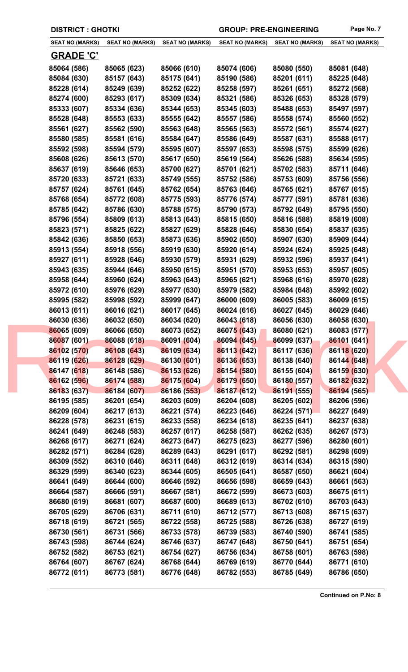| <b>SEAT NO (MARKS)</b> | <b>SEAT NO (MARKS)</b> | <b>SEAT NO (MARKS)</b> | <b>SEAT NO (MARKS)</b> | <b>SEAT NO (MARKS)</b> | <b>SEAT NO (MARKS)</b> |
|------------------------|------------------------|------------------------|------------------------|------------------------|------------------------|
| <b>GRADE 'C'</b>       |                        |                        |                        |                        |                        |
| 85064 (586)            | 85065 (623)            | 85066 (610)            | 85074 (606)            | 85080 (550)            | 85081 (648)            |
| 85084 (630)            | 85157 (643)            | 85175 (641)            | 85190 (586)            | 85201 (611)            | 85225 (648)            |
| 85228 (614)            | 85249 (639)            | 85252 (622)            | 85258 (597)            | 85261 (651)            | 85272 (568)            |
| 85274 (600)            | 85293 (617)            | 85309 (634)            | 85321 (586)            | 85326 (653)            | 85328 (579)            |
| 85333 (607)            | 85334 (636)            | 85344 (653)            | 85345 (603)            | 85488 (653)            | 85497 (597)            |
| 85528 (648)            | 85553 (633)            | 85555 (642)            | 85557 (586)            | 85558 (574)            | 85560 (552)            |
| 85561 (627)            | 85562 (590)            | 85563 (648)            | 85565 (563)            | 85572 (561)            | 85574 (627)            |
| 85580 (585)            | 85581 (616)            | 85584 (647)            | 85586 (649)            | 85587 (631)            | 85588 (617)            |
| 85592 (598)            | 85594 (579)            | 85595 (607)            | 85597 (653)            | 85598 (575)            | 85599 (626)            |
| 85608 (626)            | 85613 (570)            | 85617 (650)            | 85619 (564)            | 85626 (588)            | 85634 (595)            |
| 85637 (619)            | 85646 (653)            | 85700 (627)            | 85701 (621)            | 85702 (583)            | 85711 (646)            |
| 85720 (633)            | 85721 (633)            | 85749 (555)            | 85752 (586)            | 85753 (609)            | 85756 (556)            |
| 85757 (624)            | 85761 (645)            | 85762 (654)            | 85763 (646)            | 85765 (621)            | 85767 (615)            |
| 85768 (654)            | 85772 (608)            | 85775 (593)            | 85776 (574)            | 85777 (591)            | 85781 (636)            |
| 85785 (642)            | 85786 (630)            | 85788 (575)            | 85790 (573)            | 85792 (649)            | 85795 (550)            |
| 85796 (554)            | 85809 (613)            | 85813 (643)            | 85815 (650)            | 85816 (588)            | 85819 (608)            |
| 85823 (571)            | 85825 (622)            | 85827 (629)            | 85828 (646)            | 85830 (654)            | 85837 (635)            |
| 85842 (636)            | 85850 (653)            | 85873 (636)            | 85902 (650)            | 85907 (630)            | 85909 (644)            |
| 85913 (554)            | 85918 (556)            | 85919 (630)            | 85920 (614)            | 85924 (624)            | 85925 (648)            |
| 85927 (611)            | 85928 (646)            | 85930 (579)            | 85931 (629)            | 85932 (596)            | 85937 (641)            |
| 85943 (635)            | 85944 (646)            | 85950 (615)            | 85951 (570)            | 85953 (653)            | 85957 (605)            |
| 85958 (644)            | 85960 (624)            | 85963 (643)            | 85965 (621)            | 85968 (616)            | 85970 (628)            |
| 85972 (610)            | 85976 (629)            | 85977 (630)            | 85979 (582)            | 85984 (648)            | 85992 (602)            |
| 85995 (582)            | 85998 (592)            | 85999 (647)            | 86000 (609)            | 86005 (583)            | 86009 (615)            |
| 86013 (611)            | 86016 (621)            | 86017 (645)            | 86024 (616)            | 86027 (645)            | 86029 (646)            |
| 86030 (636)            | 86032 (650)            | 86034 (620)            | 86043 (618)            | 86056 (630)            | 86058 (630)            |
| 86065 (609)            | 86066 (650)            | 86073 (652)            | 86075 (643)            | 86080 (621)            | 86083 (577)            |
| 86087 (601)            | 86088 (618)            | 86091 (604)            | 86094 (645)            | 86099 (637)            | 86101 (641)            |
| 86102 (570)            | 86108 (643)            | 86109 (634)            | 86113 (642)            | 86117 (636)            | 86118 (620)            |
| 86119 (626)            | 86128 (629)            | 86130 (601)            | 86136 (653)            | 86138 (640)            | 86144 (648)            |
| 86147 (618)            | 86148 (586)            | 86153 (626)            | 86154 (580)            | 86155 (604)            | 86159 (630)            |
| 86162 (596)            | 86174 (588)            | 86175 (604)            | 86179 (650)            | 86180 (557)            | 86182 (632)            |
| 86183 (637)            | 86184 (607)            | 86186 (553)            | 86187 (612)            | 86191 (555)            | 86194 (565)            |
| 86195 (585)            | 86201 (654)            | 86203 (609)            | 86204 (608)            | 86205 (602)            | 86206 (596)            |
| 86209 (604)            | 86217 (613)            | 86221 (574)            | 86223 (646)            | 86224 (571)            | 86227 (649)            |
| 86228 (578)            | 86231 (615)            | 86233 (558)            | 86234 (618)            | 86235 (641)            | 86237 (638)            |
| 86241 (649)            | 86248 (583)            | 86257 (617)            | 86258 (587)            | 86262 (635)            | 86267 (573)            |
| 86268 (617)            | 86271 (624)            | 86273 (647)            | 86275 (623)            | 86277 (596)            | 86280 (601)            |
| 86282 (571)            | 86284 (628)            | 86289 (643)            | 86291 (617)            | 86292 (581)            | 86298 (609)            |
| 86309 (552)            | 86310 (646)            | 86311 (648)            | 86312 (619)            | 86314 (634)            | 86315 (590)            |
| 86329 (599)            | 86340 (623)            | 86344 (605)            | 86505 (641)            | 86587 (650)            | 86621 (604)            |
| 86641 (649)            | 86644 (600)            | 86646 (592)            | 86656 (598)            | 86659 (643)            | 86661 (563)            |
| 86664 (587)            | 86666 (591)            | 86667 (581)            | 86672 (599)            | 86673 (603)            | 86675 (611)            |
| 86680 (619)            | 86681 (607)            | 86687 (600)            | 86689 (613)            | 86702 (610)            | 86703 (643)            |
| 86705 (629)            | 86706 (631)            | 86711 (610)            | 86712 (577)            | 86713 (608)            | 86715 (637)            |
| 86718 (619)            | 86721 (565)            | 86722 (558)            | 86725 (588)            | 86726 (638)            | 86727 (619)            |
| 86730 (561)            | 86731 (566)            | 86733 (578)            | 86739 (583)            | 86740 (590)            | 86741 (585)            |
| 86743 (598)            | 86744 (624)            | 86746 (637)            | 86747 (648)            | 86750 (641)            | 86751 (654)            |
| 86752 (582)            | 86753 (621)            | 86754 (627)            | 86756 (634)            | 86758 (601)            | 86763 (598)            |
| 86764 (607)            | 86767 (624)            | 86768 (644)            | 86769 (619)            | 86770 (644)            | 86771 (610)            |
| 86772 (611)            | 86773 (581)            | 86776 (648)            | 86782 (553)            | 86785 (649)            | 86786 (650)            |
|                        |                        |                        |                        |                        |                        |

**DISTRICT : GHOTKI GROUP: PRE-ENGINEERING Page No. 7**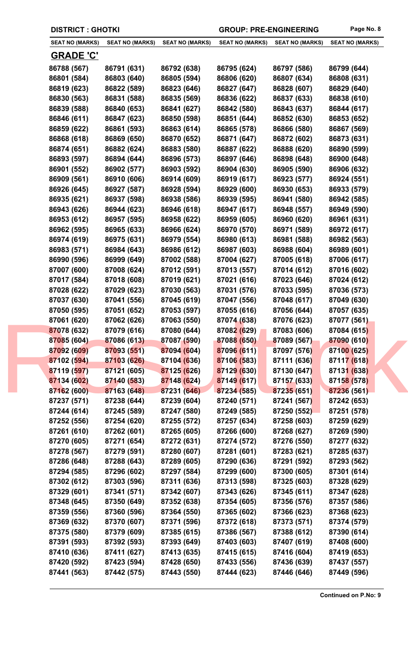| <b>DISTRICT: GHOTKI</b> |  |
|-------------------------|--|
|-------------------------|--|

GROUP: PRE-ENGINEERING Page No. 8

| <b>SEAT NO (MARKS)</b> | <b>SEAT NO (MARKS)</b> | <b>SEAT NO (MARKS)</b> | <b>SEAT NO (MARKS)</b> | <b>SEAT NO (MARKS)</b> | <b>SEAT NO (MARKS)</b> |
|------------------------|------------------------|------------------------|------------------------|------------------------|------------------------|
| <b>GRADE 'C'</b>       |                        |                        |                        |                        |                        |
| 86788 (567)            | 86791 (631)            | 86792 (638)            | 86795 (624)            | 86797 (586)            | 86799 (644)            |
| 86801 (584)            | 86803 (640)            | 86805 (594)            | 86806 (620)            | 86807 (634)            | 86808 (631)            |
| 86819 (623)            | 86822 (589)            | 86823 (646)            | 86827 (647)            | 86828 (607)            | 86829 (640)            |
| 86830 (563)            | 86831 (588)            | 86835 (569)            | 86836 (622)            | 86837 (633)            | 86838 (610)            |
| 86839 (588)            | 86840 (653)            | 86841 (627)            | 86842 (580)            | 86843 (637)            | 86844 (617)            |
| 86846 (611)            | 86847 (623)            | 86850 (598)            | 86851 (644)            | 86852 (630)            | 86853 (652)            |
| 86859 (622)            | 86861 (593)            | 86863 (614)            | 86865 (578)            | 86866 (580)            | 86867 (569)            |
| 86868 (618)            | 86869 (650)            | 86870 (652)            | 86871 (647)            | 86872 (602)            | 86873 (631)            |
| 86874 (651)            | 86882 (624)            | 86883 (580)            | 86887 (622)            | 86888 (620)            | 86890 (599)            |
| 86893 (597)            | 86894 (644)            | 86896 (573)            | 86897 (646)            | 86898 (648)            | 86900 (648)            |
| 86901 (552)            | 86902 (577)            | 86903 (592)            | 86904 (630)            | 86905 (590)            | 86906 (632)            |
| 86909 (561)            | 86910 (606)            | 86914 (609)            | 86919 (617)            | 86923 (577)            | 86924 (551)            |
| 86926 (645)            | 86927 (587)            | 86928 (594)            | 86929 (600)            | 86930 (653)            | 86933 (579)            |
| 86935 (621)            | 86937 (598)            | 86938 (586)            | 86939 (595)            | 86941 (580)            | 86942 (585)            |
| 86943 (626)            | 86944 (623)            | 86946 (618)            | 86947 (617)            | 86948 (557)            | 86949 (590)            |
| 86953 (612)            | 86957 (595)            | 86958 (622)            | 86959 (605)            | 86960 (620)            | 86961 (631)            |
| 86962 (595)            | 86965 (633)            | 86966 (624)            | 86970 (570)            | 86971 (589)            | 86972 (617)            |
| 86974 (619)            | 86975 (631)            | 86979 (554)            | 86980 (613)            | 86981 (588)            | 86982 (563)            |
| 86983 (571)            | 86984 (643)            | 86986 (612)            | 86987 (603)            | 86988 (604)            | 86989 (601)            |
| 86990 (596)            | 86999 (649)            | 87002 (588)            | 87004 (627)            | 87005 (618)            | 87006 (617)            |
| 87007 (600)            | 87008 (624)            | 87012 (591)            | 87013 (557)            | 87014 (612)            | 87016 (602)            |
| 87017 (584)            | 87018 (608)            | 87019 (621)            | 87021 (616)            | 87023 (646)            | 87024 (612)            |
| 87028 (622)            | 87029 (623)            | 87030 (563)            | 87031 (576)            | 87033 (595)            | 87036 (573)            |
| 87037 (630)            | 87041 (556)            | 87045 (619)            | 87047 (556)            | 87048 (617)            | 87049 (630)            |
| 87050 (595)            | 87051 (652)            | 87053 (597)            | 87055 (616)            | 87056 (644)            | 87057 (635)            |
| 87061 (620)            | 87062 (626)            | 87063 (550)            | 87074 (638)            | 87076 (623)            | 87077 (561)            |
| 87078 (632)            | 87079 (616)            | 87080 (644)            | 87082 (629)            | 87083 (606)            | 87084 (615)            |
| 87085 (604)            | 87086 (613)            | 87087 (590)            | 87088 (650)            | 87089 (567)            | 87090 (610)            |
| 87092 (609)            | 87093 (551)            | 87094 (604)            | 87096 (611)            | 87097 (576)            | 87100 (625)            |
| 87102 (594)            | 87103 (626)            | 87104 (636)            | 87106 (583)            | 87111 (636)            | 87117 (618)            |
| 87119 (597)            | 87121 (605)            | 87125 (626)            | 87129 (630)            | 87130 (647)            | 87131 (638)            |
| 87134 (602)            | 87140 (583)            | 87148 (624)            | 87149 (617)            | 87157 (633)            | 87158 (578)            |
| 87162 (600)            | 87163 (648)            | 87231 (646)            | 87234 (585)            | 87235 (651)            | 87236 (561)            |
| 87237 (571)            | 87238 (644)            | 87239 (604)            | 87240 (571)            | 87241 (567)            | 87242 (653)            |
| 87244 (614)            | 87245 (589)            | 87247 (580)            | 87249 (585)            | 87250 (552)            | 87251 (578)            |
| 87252 (556)            | 87254 (620)            | 87255 (572)            | 87257 (634)            | 87258 (603)            | 87259 (629)            |
| 87261 (610)            | 87262 (601)            | 87265 (605)            | 87266 (600)            | 87268 (627)            | 87269 (590)            |
| 87270 (605)            | 87271 (654)            | 87272 (631)            | 87274 (572)            | 87276 (550)            | 87277 (632)            |
| 87278 (567)            | 87279 (591)            | 87280 (607)            | 87281 (601)            | 87283 (621)            | 87285 (637)            |
| 87286 (648)            | 87288 (643)            | 87289 (605)            | 87290 (636)            | 87291 (592)            | 87293 (562)            |
| 87294 (585)            | 87296 (602)            | 87297 (584)            | 87299 (600)            | 87300 (605)            | 87301 (614)            |
| 87302 (612)            | 87303 (596)            | 87311 (636)            | 87313 (598)            | 87325 (603)            | 87328 (629)            |
| 87329 (601)            | 87341 (571)            | 87342 (607)            | 87343 (626)            | 87345 (611)            | 87347 (628)            |
| 87348 (645)            | 87350 (649)            | 87352 (638)            | 87354 (605)            | 87356 (576)            | 87357 (586)            |
| 87359 (556)            | 87360 (596)            | 87364 (550)            | 87365 (602)            | 87366 (623)            | 87368 (623)            |
| 87369 (632)            | 87370 (607)            | 87371 (596)            | 87372 (618)            | 87373 (571)            | 87374 (579)            |
| 87375 (580)            | 87379 (609)            | 87385 (615)            | 87386 (567)            | 87388 (612)            | 87390 (614)            |
| 87391 (593)            | 87392 (593)            | 87393 (649)            | 87403 (603)            | 87407 (619)            | 87408 (600)            |
| 87410 (636)            | 87411 (627)            | 87413 (635)            | 87415 (615)            | 87416 (604)            | 87419 (653)            |
| 87420 (592)            | 87423 (594)            | 87428 (650)            | 87433 (556)            | 87436 (639)            | 87437 (557)            |
| 87441 (563)            | 87442 (575)            | 87443 (550)            | 87444 (623)            | 87446 (646)            | 87449 (596)            |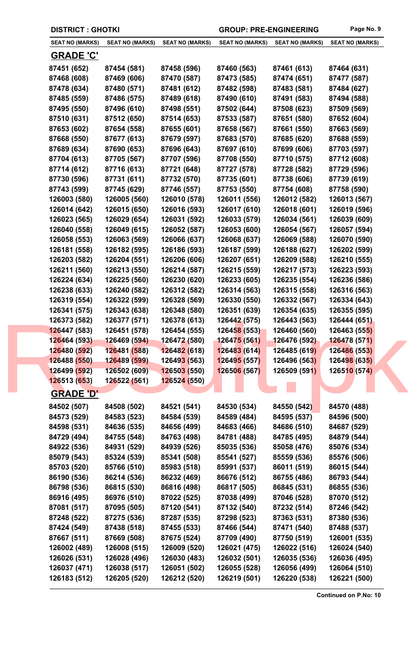| <b>DISTRICT: GHOTKI</b> |                        |                             | <b>GROUP: PRE-ENGINEERING</b> |                        | Page No. 9             |
|-------------------------|------------------------|-----------------------------|-------------------------------|------------------------|------------------------|
| <b>SEAT NO (MARKS)</b>  | <b>SEAT NO (MARKS)</b> | <b>SEAT NO (MARKS)</b>      | <b>SEAT NO (MARKS)</b>        | <b>SEAT NO (MARKS)</b> | <b>SEAT NO (MARKS)</b> |
| <b>GRADE 'C'</b>        |                        |                             |                               |                        |                        |
| 87451 (652)             | 87454 (581)            | 87458 (596)                 | 87460 (563)                   | 87461 (613)            | 87464 (631)            |
| 87468 (608)             | 87469 (606)            | 87470 (587)                 | 87473 (585)                   | 87474 (651)            | 87477 (587)            |
| 87478 (634)             | 87480 (571)            | 87481 (612)                 | 87482 (598)                   | 87483 (581)            | 87484 (627)            |
| 87485 (559)             | 87486 (575)            | 87489 (618)                 | 87490 (610)                   | 87491 (583)            | 87494 (588)            |
| 87495 (550)             | 87496 (610)            | 87498 (551)                 | 87502 (644)                   | 87508 (623)            | 87509 (569)            |
| 87510 (631)             | 87512 (650)            | 87514 (653)                 | 87533 (587)                   | 87651 (580)            | 87652 (604)            |
| 87653 (602)             | 87654 (558)            | 87655 (601)                 | 87658 (567)                   | 87661 (550)            | 87663 (569)            |
| 87668 (550)             | 87677 (613)            | 87679 (597)                 | 87683 (570)                   | 87685 (620)            | 87688 (559)            |
| 87689 (634)             | 87690 (653)            | 87696 (643)                 | 87697 (610)                   | 87699 (606)            | 87703 (597)            |
| 87704 (613)             | 87705 (567)            | 87707 (596)                 | 87708 (550)                   | 87710 (575)            | 87712 (608)            |
| 87714 (612)             | 87716 (613)            | 87721 (648)                 | 87727 (578)                   | 87728 (582)            | 87729 (596)            |
| 87730 (596)             | 87731 (611)            | 87732 (570)                 | 87735 (601)                   | 87738 (606)            | 87739 (619)            |
| 87743 (599)             | 87745 (629)            | 87746 (557)                 | 87753 (550)                   | 87754 (608)            | 87758 (590)            |
| 126003 (580)            | 126005 (560)           | 126010 (578)                | 126011 (556)                  | 126012 (582)           | 126013 (567)           |
| 126014 (642)            | 126015 (650)           | 126016 (593)                | 126017 (610)                  | 126018 (601)           | 126019 (596)           |
| 126023 (565)            | 126029 (654)           | 126031 (592)                | 126033 (579)                  | 126034 (561)           | 126039 (609)           |
| 126040 (558)            | 126049 (615)           | 126052 (587)                | 126053 (600)                  | 126054 (567)           | 126057 (594)           |
| 126058 (553)            | 126063 (569)           | 126066 (637)                | 126068 (637)                  | 126069 (588)           | 126070 (590)           |
| 126181 (558)            | 126182 (595)           | 126186 (593)                | 126187 (599)                  | 126188 (627)           | 126202 (599)           |
| 126203 (582)            | 126204 (551)           | 126206 (606)                | 126207 (651)                  | 126209 (588)           | 126210 (555)           |
| 126211 (560)            | 126213 (550)           | 126214 (587)                | 126215 (559)                  | 126217 (573)           | 126223 (593)           |
| 126224 (634)            | 126225 (560)           | 126230 (620)                | 126233 (605)                  | 126235 (554)           | 126236 (586)           |
| 126238 (633)            | 126240 (582)           | 126312 (582)                | 126314 (563)                  | 126315 (558)           | 126316 (563)           |
| 126319 (554)            | 126322 (599)           | 126328 (569)                | 126330 (550)                  | 126332 (567)           | 126334 (643)           |
| 126341 (575)            | 126343 (638)           | 126348 (580)                | 126351 (639)                  | 126354 (635)           | 126355 (595)           |
| 126373 (582)            | 126377 (571)           | 126378 (613)                | 126442 (575)                  | 126443 (563)           | 126444 (651)           |
| 126447 (583)            | 126451 (578)           | 126454 (555)                | 126458 (553)                  | 126460 (560)           | 126463 (555)           |
| 126464 (593)            | 126469 (594)           | 126472 (580)                | 126475 (561)                  | 126476 (592)           | <b>126478 (571)</b>    |
| 126480 (592)            | 126481 (588)           | 126482 (618)                | 126483 (614)                  | 126485 (619)           | 126486 (553)           |
| 126488 (550)            | 126489 (599)           | 12649 <mark>3 (</mark> 563) | 126495 (557)                  | 126496 (563)           | 126498 (635)           |
| 126499 (592)            | 126502 (609)           | 126503(550)                 | 126506 (567)                  | 126509 (591)           | 126510 (574)           |
| 126513 (653)            | 126522 (561)           | 126524 (550)                |                               |                        |                        |
|                         |                        |                             |                               |                        |                        |
| <b>GRADE 'D'</b>        |                        |                             |                               |                        |                        |
| 84502 (507)             | 84508 (502)            | 84521 (541)                 | 84530 (534)                   | 84550 (542)            | 84570 (488)            |
| 84573 (529)             | 84583 (523)            | 84584 (539)                 | 84589 (484)                   | 84595 (537)            | 84596 (500)            |
| 84598 (531)             | 84636 (535)            | 84656 (499)                 | 84683 (466)                   | 84686 (510)            | 84687 (529)            |
| 84729 (494)             | 84755 (548)            | 84763 (498)                 | 84781 (488)                   | 84785 (495)            | 84879 (544)            |
| 84922 (536)             | 84931 (529)            | 84939 (526)                 | 85035 (536)                   | 85058 (476)            | 85076 (534)            |
| 85079 (543)             | 85324 (539)            | 85341 (508)                 | 85541 (527)                   | 85559 (536)            | 85576 (506)            |
| 85703 (520)             | 85766 (510)            | 85983 (518)                 | 85991 (537)                   | 86011 (519)            | 86015 (544)            |
| 86190 (536)             | 86214 (536)            | 86232 (469)                 | 86676 (512)                   | 86755 (486)            | 86793 (544)            |
| 86798 (536)             | 86815 (530)            | 86816 (498)                 | 86817 (505)                   | 86845 (531)            | 86855 (536)            |
| 86916 (495)             | 86976 (510)            | 87022 (525)                 | 87038 (499)                   | 87046 (528)            | 87070 (512)            |
| 87081 (517)             | 87095 (505)            | 87120 (541)                 | 87132 (540)                   | 87232 (514)            | 87246 (542)            |
| 87248 (522)             | 87275 (536)            | 87287 (535)                 | 87298 (523)                   | 87363 (531)            | 87380 (536)            |
| 87424 (549)             | 87438 (518)            | 87455 (533)                 | 87466 (544)                   | 87471 (540)            | 87488 (537)            |
| 87667 (511)             | 87669 (508)            | 87675 (524)                 | 87709 (490)                   | 87750 (519)            | 126001 (535)           |
| 126002 (489)            | 126008 (515)           | 126009 (520)                | 126021 (475)                  | 126022 (516)           | 126024 (540)           |
| 126026 (531)            | 126028 (496)           | 126030 (483)                | 126032 (501)                  | 126035 (536)           | 126036 (495)           |
| 126037 (471)            | 126038 (517)           | 126051 (502)                | 126055 (528)                  | 126056 (499)           | 126064 (510)           |
|                         |                        | 126212 (520)                |                               |                        |                        |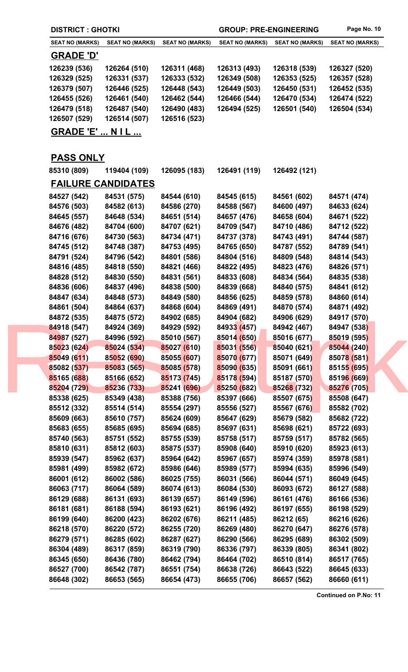|  | <b>DISTRICT : GHOTKI</b>   |                            |                            | <b>GROUP: PRE-ENGINEERING</b> |                            | Page No. 10                |
|--|----------------------------|----------------------------|----------------------------|-------------------------------|----------------------------|----------------------------|
|  | <b>SEAT NO (MARKS)</b>     | <b>SEAT NO (MARKS)</b>     | <b>SEAT NO (MARKS)</b>     | <b>SEAT NO (MARKS)</b>        | <b>SEAT NO (MARKS)</b>     | <b>SEAT NO (MARKS)</b>     |
|  | <b>GRADE 'D'</b>           |                            |                            |                               |                            |                            |
|  | 126239 (536)               | 126264 (510)               | 126311 (468)               | 126313 (493)                  | 126318 (539)               | 126327 (520)               |
|  | 126329 (525)               | 126331 (537)               | 126333 (532)               | 126349 (508)                  | 126353 (525)               | 126357 (528)               |
|  | 126379 (507)               | 126446 (525)               | 126448 (543)               | 126449 (503)                  | 126450 (531)               | 126452 (535)               |
|  | 126455 (526)               | 126461 (540)               | 126462 (544)               | 126466 (544)                  | 126470 (534)               | 126474 (522)               |
|  | 126479 (518)               | 126487 (540)               | 126490 (483)               | 126494 (525)                  | 126501 (540)               | 126504 (534)               |
|  | 126507 (529)               | 126514 (507)               | 126516 (523)               |                               |                            |                            |
|  | <b>GRADE 'E'  N I L </b>   |                            |                            |                               |                            |                            |
|  |                            |                            |                            |                               |                            |                            |
|  | <b>PASS ONLY</b>           |                            |                            |                               |                            |                            |
|  | 85310 (809)                | 119404 (109)               | 126095 (183)               | 126491 (119)                  | 126492 (121)               |                            |
|  |                            | <b>FAILURE CANDIDATES</b>  |                            |                               |                            |                            |
|  | 84527 (542)                | 84531 (575)                | 84544 (610)                | 84545 (615)                   | 84561 (602)                | 84571 (474)                |
|  | 84576 (503)                | 84582 (613)                | 84586 (270)                | 84588 (567)                   | 84600 (497)                | 84633 (624)                |
|  | 84645 (557)                | 84648 (534)                | 84651 (514)                | 84657 (476)                   | 84658 (604)                | 84671 (522)                |
|  | 84676 (482)                | 84704 (600)                | 84707 (621)                | 84709 (547)                   | 84710 (486)                | 84712 (522)                |
|  | 84716 (676)                | 84730 (563)                | 84734 (471)                | 84737 (378)                   | 84743 (491)                | 84744 (587)                |
|  | 84745 (512)                | 84748 (387)                | 84753 (495)                | 84765 (650)                   | 84787 (552)                | 84789 (541)                |
|  | 84791 (524)                | 84796 (542)                | 84801 (586)                | 84804 (516)                   | 84809 (548)                | 84814 (543)                |
|  | 84816 (485)                | 84818 (550)                | 84821 (466)                | 84822 (495)                   | 84823 (476)                | 84826 (571)                |
|  | 84828 (512)                | 84830 (550)                | 84831 (561)                | 84833 (608)                   | 84834 (564)                | 84835 (538)                |
|  | 84836 (606)                | 84837 (496)                | 84838 (500)                | 84839 (668)                   | 84840 (575)                | 84841 (612)                |
|  | 84847 (634)                | 84848 (573)                | 84849 (580)                | 84856 (625)                   | 84859 (578)                | 84860 (614)                |
|  | 84861 (504)                | 84864 (637)                | 84868 (604)                | 84869 (491)                   | 84870 (574)                | 84871 (492)                |
|  | 84872 (535)                | 84875 (572)                | 84902 (685)                | 84904 (682)                   | 84906 (629)                | 84917 (570)                |
|  | 84918 (547)                | 84924 (369)                | 84929 (592)                | 84933 (457)                   | 84942 (467)                | 84947 (538)                |
|  | 84987 (527)                | 84996 (592)                | 85010 (567)                | 85014 (650)                   | 85016 (677)                | 85019 (595)                |
|  | 85023 (624)                | 85024 (534)                | 85027 (610)                | 85031 (556)                   | 85040 (621)                | 85044 (240)                |
|  | 85049 (611)                | 85052 (690)                | 85055 (607)                | 85070 (677)                   | 85071 (649)                | 85078 (581)                |
|  | 85082 (537)                | 85083 (565)                | 85085 (578)                | 85090 (635)                   | 85091 (661)                | 85155 (695)                |
|  | 85165 (688)                | 85166 (652)                | 85173 (745)                | 85178 (594)                   | 85187 (570)                | 85196 (669)                |
|  | 85204 (729)                | 85236 (733)                | 85241 (696)                | 85250 (682)                   | 85268 (732)                | 85276 (705)                |
|  | 85338 (625)                | 85349 (438)                | 85388 (756)                | 85397 (666)                   | 85507 (675)                | 85508 (647)                |
|  | 85512 (332)                | 85514 (514)                | 85554 (297)                | 85556 (527)                   | 85567 (676)                | 85582 (702)                |
|  | 85609 (663)<br>85683 (655) | 85610 (757)                | 85624 (609)                | 85647 (629)                   | 85679 (582)                | 85682 (722)                |
|  | 85740 (563)                | 85685 (695)                | 85694 (685)<br>85755 (539) | 85697 (631)<br>85758 (517)    | 85698 (621)<br>85759 (517) | 85722 (693)                |
|  | 85810 (631)                | 85751 (552)<br>85812 (603) | 85875 (537)                | 85908 (640)                   | 85910 (620)                | 85782 (565)<br>85923 (613) |
|  | 85939 (547)                | 85962 (637)                | 85964 (642)                | 85967 (657)                   | 85974 (359)                | 85978 (581)                |
|  | 85981 (499)                | 85982 (672)                | 85986 (646)                | 85989 (577)                   | 85994 (635)                | 85996 (549)                |
|  | 86001 (612)                | 86002 (586)                | 86025 (755)                | 86031 (566)                   | 86044 (571)                | 86049 (645)                |
|  | 86063 (717)                | 86064 (589)                | 86074 (613)                | 86084 (530)                   | 86093 (672)                | 86127 (588)                |
|  | 86129 (688)                | 86131 (693)                | 86139 (657)                | 86149 (596)                   | 86161 (476)                | 86166 (536)                |
|  | 86181 (681)                | 86188 (594)                | 86193 (621)                | 86196 (492)                   | 86197 (655)                | 86198 (529)                |
|  | 86199 (640)                | 86200 (423)                | 86202 (676)                | 86211 (485)                   | 86212 (65)                 | 86216 (626)                |
|  | 86218 (570)                | 86220 (572)                | 86255 (720)                | 86269 (480)                   | 86270 (647)                | 86276 (578)                |
|  | 86279 (571)                | 86285 (602)                | 86287 (627)                | 86290 (566)                   | 86295 (689)                | 86302 (509)                |
|  | 86304 (489)                | 86317 (859)                | 86319 (790)                | 86336 (797)                   | 86339 (805)                | 86341 (802)                |
|  | 86345 (650)                | 86436 (780)                | 86462 (794)                | 86464 (702)                   | 86510 (814)                | 86517 (765)                |
|  | 86527 (700)                | 86542 (787)                | 86551 (754)                | 86638 (726)                   | 86643 (522)                | 86645 (633)                |
|  | 86648 (302)                | 86653 (565)                | 86654 (473)                | 86655 (706)                   | 86657 (562)                | 86660 (611)                |
|  |                            |                            |                            |                               |                            |                            |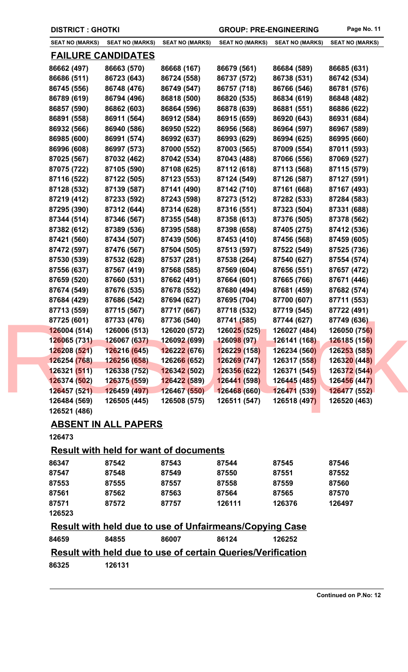| <b>DISTRICT: GHOTKI</b> |
|-------------------------|
|-------------------------|

**DISTRICT : GROUP: PRE-ENGINEERING** Page No. 11

| <b>SEAT NO (MARKS)</b> | <b>SEAT NO (MARKS)</b>    | <b>SEAT NO (MARKS)</b>           | <b>SEAT NO (MARKS)</b> | <b>SEAT NO (MARKS)</b> | <b>SEAT NO (MARKS)</b> |
|------------------------|---------------------------|----------------------------------|------------------------|------------------------|------------------------|
|                        | <u>FAILURE CANDIDATES</u> |                                  |                        |                        |                        |
| 86662 (497)            | 86663 (570)               | 86668 (167)                      | 86679 (561)            | 86684 (589)            | 86685 (631)            |
| 86686 (511)            | 86723 (643)               | 86724 (558)                      | 86737 (572)            | 86738 (531)            | 86742 (534)            |
| 86745 (556)            | 86748 (476)               | 86749 (547)                      | 86757 (718)            | 86766 (546)            | 86781 (576)            |
| 86789 (619)            | 86794 (496)               | 86818 (500)                      | 86820 (535)            | 86834 (619)            | 86848 (482)            |
| 86857 (590)            | 86862 (603)               | 86864 (596)                      | 86878 (639)            | 86881 (551)            | 86886 (622)            |
| 86891 (558)            | 86911 (564)               | 86912 (584)                      | 86915 (659)            | 86920 (643)            | 86931 (684)            |
| 86932 (566)            | 86940 (586)               | 86950 (522)                      | 86956 (568)            | 86964 (597)            | 86967 (589)            |
| 86985 (600)            | 86991 (574)               | 86992 (637)                      | 86993 (629)            | 86994 (625)            | 86995 (660)            |
| 86996 (608)            | 86997 (573)               | 87000 (552)                      | 87003 (565)            | 87009 (554)            | 87011 (593)            |
| 87025 (567)            | 87032 (462)               | 87042 (534)                      | 87043 (488)            | 87066 (556)            | 87069 (527)            |
| 87075 (722)            | 87105 (590)               | 87108 (625)                      | 87112 (618)            | 87113 (568)            | 87115 (579)            |
| 87116 (522)            | 87122 (505)               | 87123 (553)                      | 87124 (549)            | 87126 (587)            | 87127 (591)            |
| 87128 (532)            | 87139 (587)               | 87141 (490)                      | 87142 (710)            | 87161 (668)            | 87167 (493)            |
| 87219 (412)            | 87233 (592)               | 87243 (598)                      | 87273 (512)            | 87282 (533)            | 87284 (583)            |
| 87295 (390)            | 87312 (644)               | 87314 (628)                      | 87316 (551)            | 87323 (504)            | 87331 (688)            |
| 87344 (514)            | 87346 (567)               | 87355 (548)                      | 87358 (613)            | 87376 (505)            | 87378 (562)            |
| 87382 (612)            | 87389 (536)               | 87395 (588)                      | 87398 (658)            | 87405 (275)            | 87412 (536)            |
| 87421 (560)            | 87434 (507)               | 87439 (506)                      | 87453 (410)            | 87456 (568)            | 87459 (605)            |
| 87472 (597)            | 87476 (567)               | 87504 (505)                      | 87513 (597)            | 87522 (549)            | 87525 (736)            |
| 87530 (539)            | 87532 (628)               | 87537 (281)                      | 87538 (264)            | 87540 (627)            | 87554 (574)            |
| 87556 (637)            | 87567 (419)               | 87568 (585)                      | 87569 (604)            | 87656 (551)            | 87657 (472)            |
| 87659 (520)            | 87660 (531)               | 87662 (491)                      | 87664 (601)            | 87665 (766)            | 87671 (446)            |
| 87674 (549)            | 87676 (535)               | 87678 (552)                      | 87680 (494)            | 87681 (459)            | 87682 (574)            |
| 87684 (429)            | 87686 (542)               | 87694 (627)                      | 87695 (704)            | 87700 (607)            | 87711 (553)            |
| 87713 (559)            | 87715 (567)               | 87717 (667)                      | 87718 (532)            | 87719 (545)            | 87722 (491)            |
| 87725 (601)            | 87733 (476)               | 87736 (540)                      | 87741 (585)            | 87744 (627)            | 87749 (636)            |
| 126004 (514)           | 126006 (513)              | 126020 (572)                     | 126025 (525)           | 126027 (484)           | <b>126050 (756)</b>    |
| 126065 (731)           | 126067 (637)              | 126092 (699)                     | 126098 (97)            | 126141 (168)           | <b>126185 (156)</b>    |
| 126208 (521)           | 126216 (645)              | 126222 (676)                     | 126229 (158)           | 126234 (560)           | 126253 (585)           |
| 126254 (768)           | 126256 (658)              | <b>12626<mark>6</mark></b> (652) | 126269 (747)           | 126317 (558)           | 126320 (448)           |
| 126321 (511)           | 126338 (752)              | 126342 (502)                     | 126356 (622)           | 126371 (545)           | 126372 (544)           |
| 126374 (502)           | 126375 (559)              | 12642 <mark>2 (5</mark> 89)      | 126441 (598)           | 126445 (485)           | 126456 (447)           |
| 126457 (521)           | 126459 (497)              | 126467 (550)                     | 126468 (660)           | 126471 (539)           | 126477 (552)           |
| 126484 (569)           | 126505 (445)              | 126508 (575)                     | 126511 (547)           | 126518 (497)           | 126520 (463)           |
| 126521 (486)           |                           |                                  |                        |                        |                        |

## **ABSENT IN ALL PAPERS**

**126473**

## **Result with held for want of documents**

| 87542 | 87543 | 87544  | 87545  | 87546  |
|-------|-------|--------|--------|--------|
| 87548 | 87549 | 87550  | 87551  | 87552  |
| 87555 | 87557 | 87558  | 87559  | 87560  |
| 87562 | 87563 | 87564  | 87565  | 87570  |
| 87572 | 87757 | 126111 | 126376 | 126497 |
|       |       |        |        |        |
|       |       |        |        |        |

|       |       |       | Result with held due to use of Unfairmeans/Copying Case |        |
|-------|-------|-------|---------------------------------------------------------|--------|
| 84659 | 84855 | 86007 | 86124                                                   | 126252 |

|  |  |  | Result with held due to use of certain Queries/Verification |
|--|--|--|-------------------------------------------------------------|
|--|--|--|-------------------------------------------------------------|

**86325 126131**